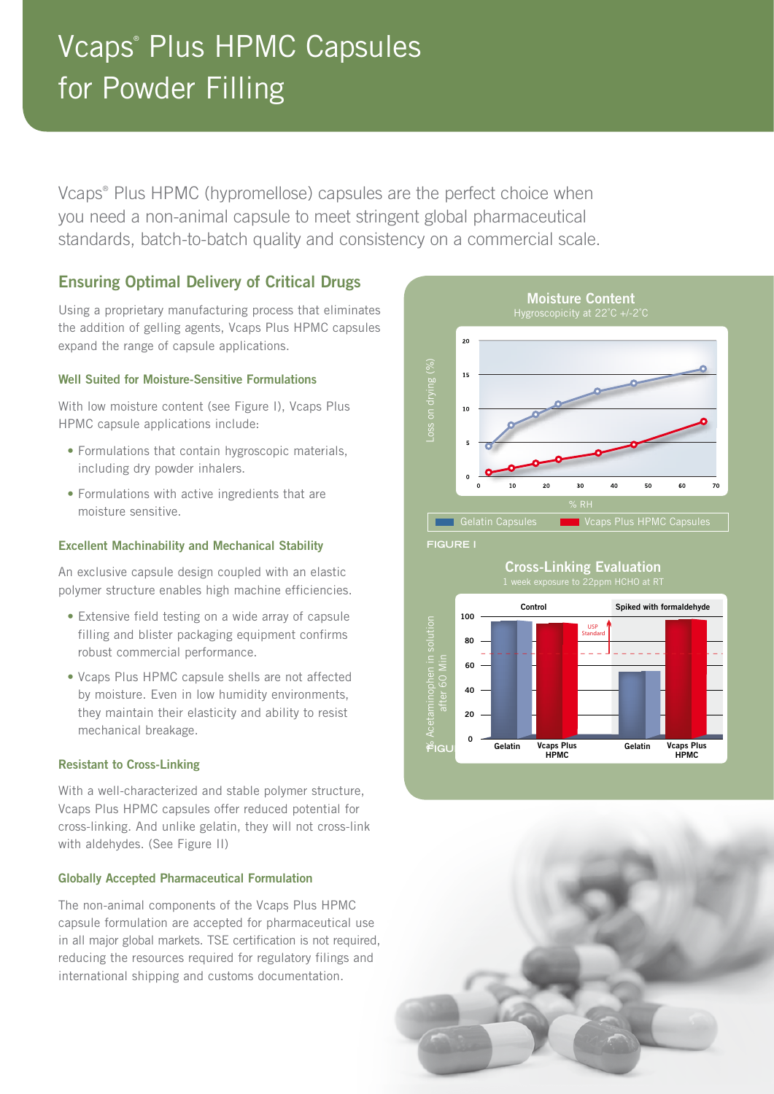# Vcaps® Plus HPMC Capsules for Powder Filling

Vcaps® Plus HPMC (hypromellose) capsules are the perfect choice when you need a non-animal capsule to meet stringent global pharmaceutical standards, batch-to-batch quality and consistency on a commercial scale.

# Ensuring Optimal Delivery of Critical Drugs

Using a proprietary manufacturing process that eliminates the addition of gelling agents, Vcaps Plus HPMC capsules expand the range of capsule applications.

### Well Suited for Moisture-Sensitive Formulations

With low moisture content (see Figure I), Vcaps Plus HPMC capsule applications include:

- Formulations that contain hygroscopic materials, including dry powder inhalers.
- Formulations with active ingredients that are moisture sensitive.

### Excellent Machinability and Mechanical Stability

An exclusive capsule design coupled with an elastic polymer structure enables high machine efficiencies.

- Extensive field testing on a wide array of capsule filling and blister packaging equipment confirms robust commercial performance.
- Vcaps Plus HPMC capsule shells are not affected by moisture. Even in low humidity environments, they maintain their elasticity and ability to resist mechanical breakage.

### Resistant to Cross-Linking

With a well-characterized and stable polymer structure, Vcaps Plus HPMC capsules offer reduced potential for cross-linking. And unlike gelatin, they will not cross-link with aldehydes. (See Figure II)

### Globally Accepted Pharmaceutical Formulation

The non-animal components of the Vcaps Plus HPMC capsule formulation are accepted for pharmaceutical use in all major global markets. TSE certification is not required, reducing the resources required for regulatory filings and international shipping and customs documentation.



# Cross-Linking Evaluation